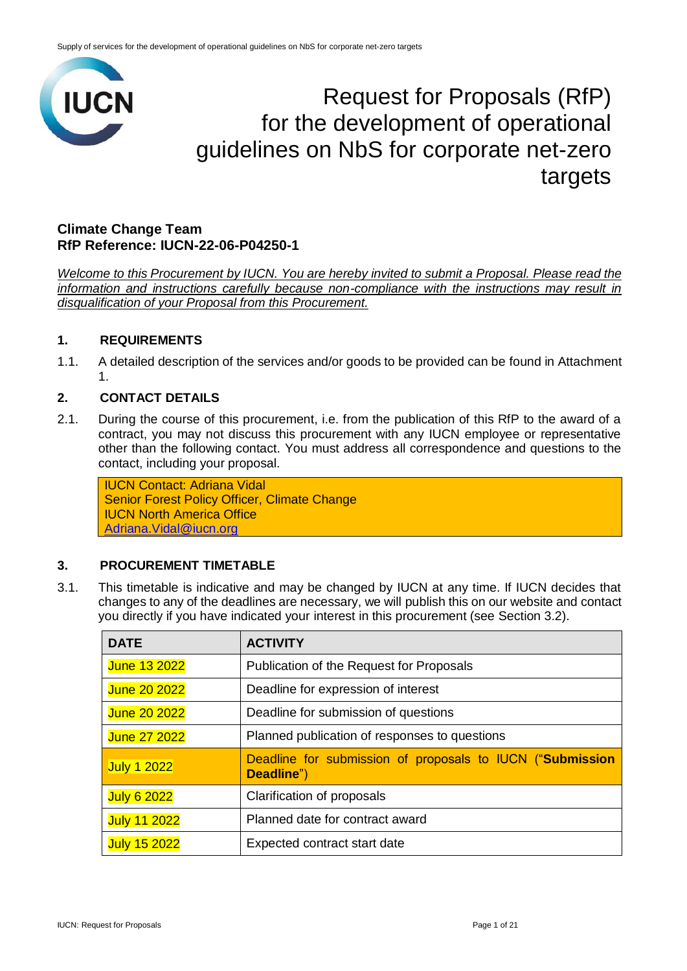

# Request for Proposals (RfP) for the development of operational guidelines on NbS for corporate net-zero targets

# **Climate Change Team RfP Reference: IUCN-22-06-P04250-1**

*Welcome to this Procurement by IUCN. You are hereby invited to submit a Proposal. Please read the information and instructions carefully because non-compliance with the instructions may result in disqualification of your Proposal from this Procurement.*

# **1. REQUIREMENTS**

1.1. A detailed description of the services and/or goods to be provided can be found in Attachment 1.

# **2. CONTACT DETAILS**

2.1. During the course of this procurement, i.e. from the publication of this RfP to the award of a contract, you may not discuss this procurement with any IUCN employee or representative other than the following contact. You must address all correspondence and questions to the contact, including your proposal.

IUCN Contact: Adriana Vidal Senior Forest Policy Officer, Climate Change IUCN North America Office [Adriana.Vidal@iucn.org](mailto:Adriana.Vidal@iucn.org)

# **3. PROCUREMENT TIMETABLE**

3.1. This timetable is indicative and may be changed by IUCN at any time. If IUCN decides that changes to any of the deadlines are necessary, we will publish this on our website and contact you directly if you have indicated your interest in this procurement (see Section 3.2).

| <b>DATE</b>         | <b>ACTIVITY</b>                                                         |
|---------------------|-------------------------------------------------------------------------|
| June 13 2022        | Publication of the Request for Proposals                                |
| <b>June 20 2022</b> | Deadline for expression of interest                                     |
| <b>June 20 2022</b> | Deadline for submission of questions                                    |
| <b>June 27 2022</b> | Planned publication of responses to questions                           |
| <b>July 1 2022</b>  | Deadline for submission of proposals to IUCN ("Submission<br>Deadline") |
| <b>July 6 2022</b>  | Clarification of proposals                                              |
| <b>July 11 2022</b> | Planned date for contract award                                         |
| <b>July 15 2022</b> | Expected contract start date                                            |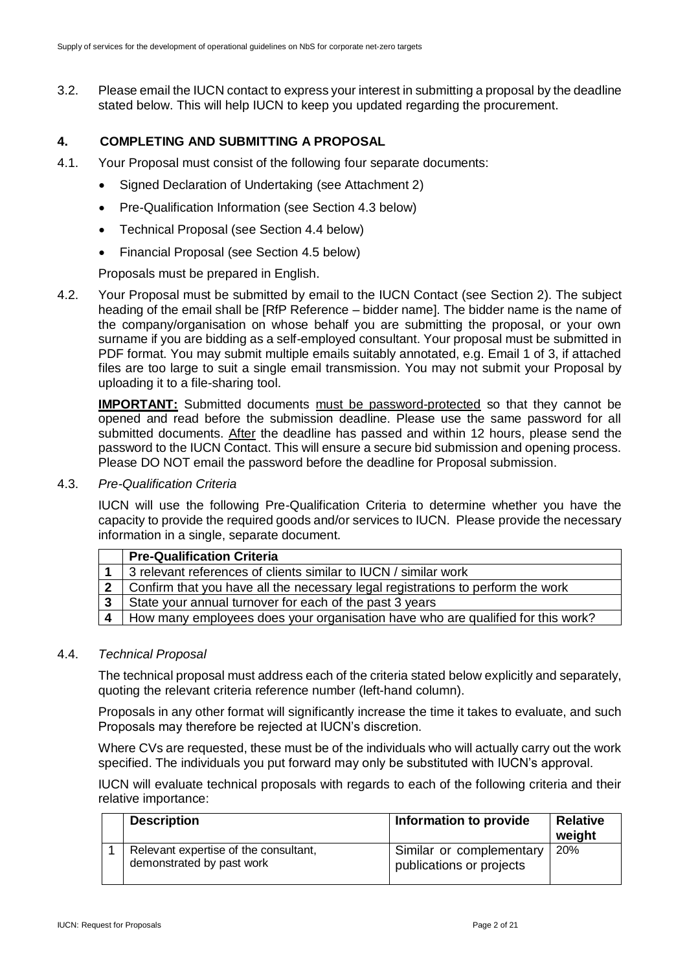3.2. Please email the IUCN contact to express your interest in submitting a proposal by the deadline stated below. This will help IUCN to keep you updated regarding the procurement.

# **4. COMPLETING AND SUBMITTING A PROPOSAL**

- 4.1. Your Proposal must consist of the following four separate documents:
	- Signed Declaration of Undertaking (see Attachment 2)
	- Pre-Qualification Information (see Section 4.3 below)
	- Technical Proposal (see Section 4.4 below)
	- Financial Proposal (see Section 4.5 below)

Proposals must be prepared in English.

4.2. Your Proposal must be submitted by email to the IUCN Contact (see Section 2). The subject heading of the email shall be [RfP Reference – bidder name]. The bidder name is the name of the company/organisation on whose behalf you are submitting the proposal, or your own surname if you are bidding as a self-employed consultant. Your proposal must be submitted in PDF format. You may submit multiple emails suitably annotated, e.g. Email 1 of 3, if attached files are too large to suit a single email transmission. You may not submit your Proposal by uploading it to a file-sharing tool.

**IMPORTANT:** Submitted documents must be password-protected so that they cannot be opened and read before the submission deadline. Please use the same password for all submitted documents. After the deadline has passed and within 12 hours, please send the password to the IUCN Contact. This will ensure a secure bid submission and opening process. Please DO NOT email the password before the deadline for Proposal submission.

#### 4.3. *Pre-Qualification Criteria*

IUCN will use the following Pre-Qualification Criteria to determine whether you have the capacity to provide the required goods and/or services to IUCN. Please provide the necessary information in a single, separate document.

|   | <b>Pre-Qualification Criteria</b>                                               |
|---|---------------------------------------------------------------------------------|
|   | 3 relevant references of clients similar to IUCN / similar work                 |
|   | Confirm that you have all the necessary legal registrations to perform the work |
| 3 | State your annual turnover for each of the past 3 years                         |
|   | How many employees does your organisation have who are qualified for this work? |

#### 4.4. *Technical Proposal*

The technical proposal must address each of the criteria stated below explicitly and separately, quoting the relevant criteria reference number (left-hand column).

Proposals in any other format will significantly increase the time it takes to evaluate, and such Proposals may therefore be rejected at IUCN's discretion.

Where CVs are requested, these must be of the individuals who will actually carry out the work specified. The individuals you put forward may only be substituted with IUCN's approval.

IUCN will evaluate technical proposals with regards to each of the following criteria and their relative importance:

| <b>Description</b>                                                 | Information to provide                               | <b>Relative</b><br>weight |
|--------------------------------------------------------------------|------------------------------------------------------|---------------------------|
| Relevant expertise of the consultant,<br>demonstrated by past work | Similar or complementary<br>publications or projects | 20%                       |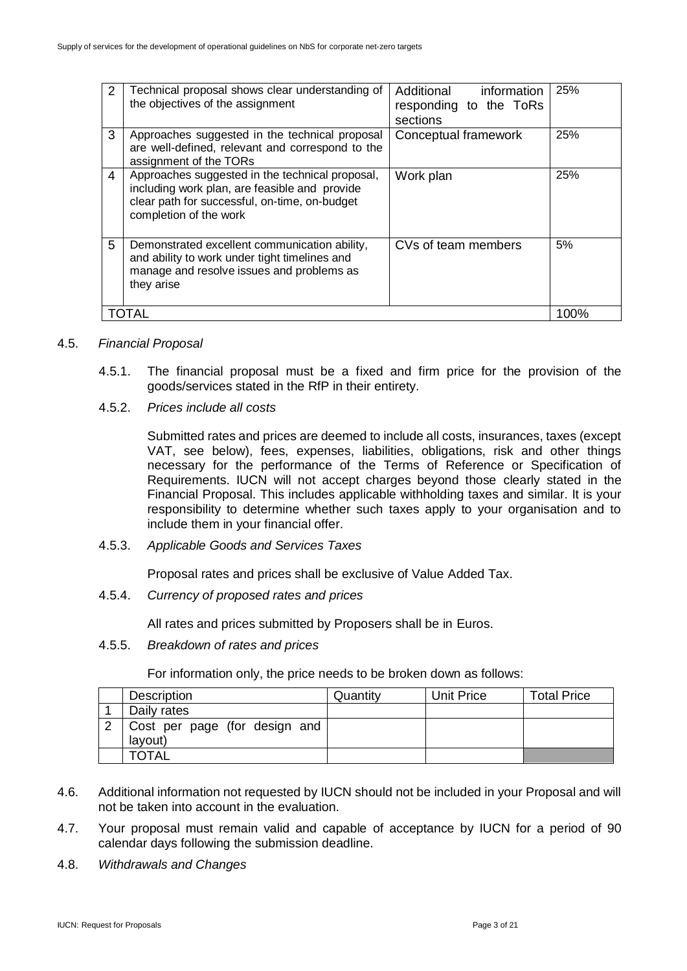| 2  | Technical proposal shows clear understanding of<br>the objectives of the assignment                                                                                         | Additional<br>information<br>responding to the ToRs<br>sections | 25%  |
|----|-----------------------------------------------------------------------------------------------------------------------------------------------------------------------------|-----------------------------------------------------------------|------|
| 3  | Approaches suggested in the technical proposal<br>are well-defined, relevant and correspond to the<br>assignment of the TORs                                                | Conceptual framework                                            | 25%  |
| 4  | Approaches suggested in the technical proposal,<br>including work plan, are feasible and provide<br>clear path for successful, on-time, on-budget<br>completion of the work | Work plan                                                       | 25%  |
| 5. | Demonstrated excellent communication ability,<br>and ability to work under tight timelines and<br>manage and resolve issues and problems as<br>they arise                   | CVs of team members                                             | 5%   |
|    | OTAL                                                                                                                                                                        |                                                                 | 100% |

## 4.5. *Financial Proposal*

- 4.5.1. The financial proposal must be a fixed and firm price for the provision of the goods/services stated in the RfP in their entirety.
- 4.5.2. *Prices include all costs*

Submitted rates and prices are deemed to include all costs, insurances, taxes (except VAT, see below), fees, expenses, liabilities, obligations, risk and other things necessary for the performance of the Terms of Reference or Specification of Requirements. IUCN will not accept charges beyond those clearly stated in the Financial Proposal. This includes applicable withholding taxes and similar. It is your responsibility to determine whether such taxes apply to your organisation and to include them in your financial offer.

4.5.3. *Applicable Goods and Services Taxes*

Proposal rates and prices shall be exclusive of Value Added Tax.

4.5.4. *Currency of proposed rates and prices*

All rates and prices submitted by Proposers shall be in Euros.

4.5.5. *Breakdown of rates and prices*

For information only, the price needs to be broken down as follows:

| Description                   | Quantity | Unit Price | <b>Total Price</b> |
|-------------------------------|----------|------------|--------------------|
| Daily rates                   |          |            |                    |
| Cost per page (for design and |          |            |                    |
| layout)                       |          |            |                    |
| <b>TOTAL</b>                  |          |            |                    |

- 4.6. Additional information not requested by IUCN should not be included in your Proposal and will not be taken into account in the evaluation.
- 4.7. Your proposal must remain valid and capable of acceptance by IUCN for a period of 90 calendar days following the submission deadline.
- 4.8. *Withdrawals and Changes*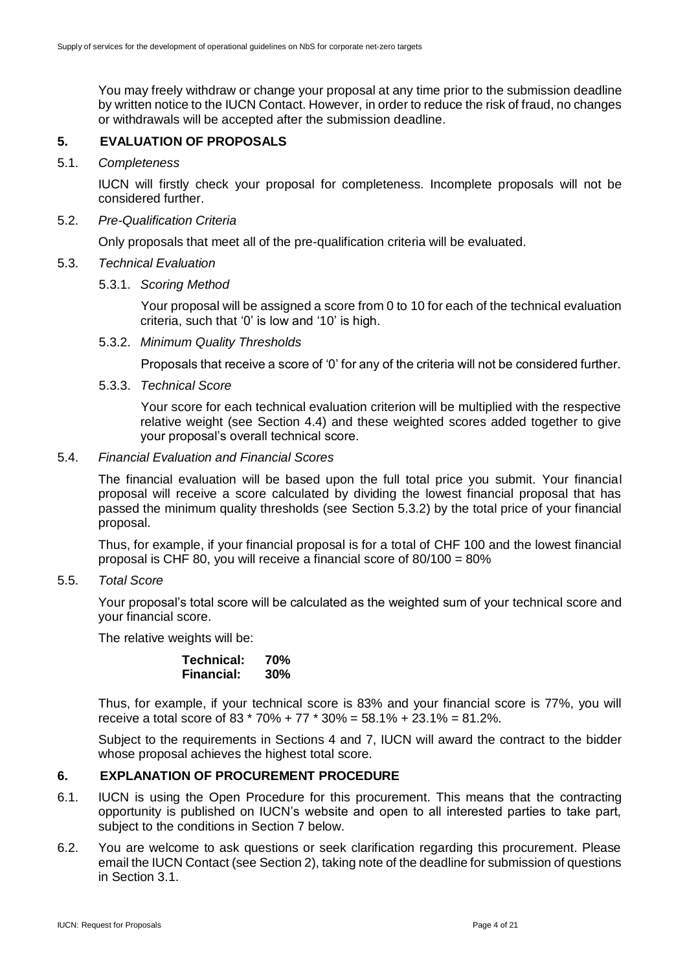You may freely withdraw or change your proposal at any time prior to the submission deadline by written notice to the IUCN Contact. However, in order to reduce the risk of fraud, no changes or withdrawals will be accepted after the submission deadline.

# **5. EVALUATION OF PROPOSALS**

#### 5.1. *Completeness*

IUCN will firstly check your proposal for completeness. Incomplete proposals will not be considered further.

#### 5.2. *Pre-Qualification Criteria*

Only proposals that meet all of the pre-qualification criteria will be evaluated.

## 5.3. *Technical Evaluation*

## 5.3.1. *Scoring Method*

Your proposal will be assigned a score from 0 to 10 for each of the technical evaluation criteria, such that '0' is low and '10' is high.

5.3.2. *Minimum Quality Thresholds*

Proposals that receive a score of '0' for any of the criteria will not be considered further.

## 5.3.3. *Technical Score*

Your score for each technical evaluation criterion will be multiplied with the respective relative weight (see Section 4.4) and these weighted scores added together to give your proposal's overall technical score.

## 5.4. *Financial Evaluation and Financial Scores*

The financial evaluation will be based upon the full total price you submit. Your financial proposal will receive a score calculated by dividing the lowest financial proposal that has passed the minimum quality thresholds (see Section 5.3.2) by the total price of your financial proposal.

Thus, for example, if your financial proposal is for a total of CHF 100 and the lowest financial proposal is CHF 80, you will receive a financial score of 80/100 = 80%

5.5. *Total Score*

Your proposal's total score will be calculated as the weighted sum of your technical score and your financial score.

The relative weights will be:

| Technical:        | 70% |
|-------------------|-----|
| <b>Financial:</b> | 30% |

Thus, for example, if your technical score is 83% and your financial score is 77%, you will receive a total score of 83  $*$  70% + 77  $*$  30% = 58.1% + 23.1% = 81.2%.

Subject to the requirements in Sections 4 and 7, IUCN will award the contract to the bidder whose proposal achieves the highest total score.

# **6. EXPLANATION OF PROCUREMENT PROCEDURE**

- 6.1. IUCN is using the Open Procedure for this procurement. This means that the contracting opportunity is published on IUCN's website and open to all interested parties to take part, subject to the conditions in Section 7 below.
- 6.2. You are welcome to ask questions or seek clarification regarding this procurement. Please email the IUCN Contact (see Section 2), taking note of the deadline for submission of questions in Section 3.1.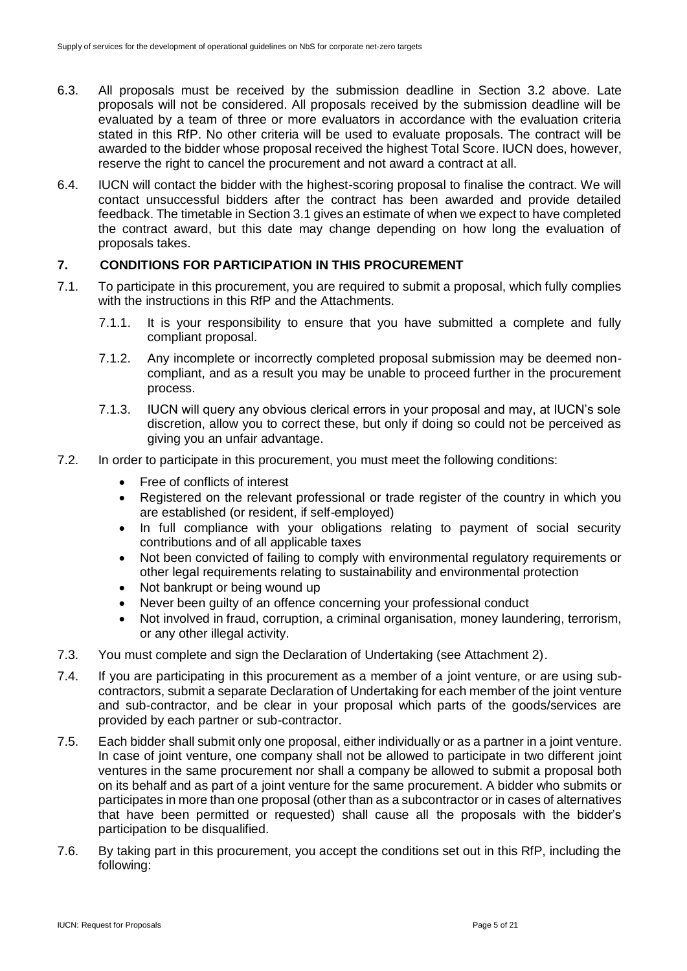- 6.3. All proposals must be received by the submission deadline in Section 3.2 above. Late proposals will not be considered. All proposals received by the submission deadline will be evaluated by a team of three or more evaluators in accordance with the evaluation criteria stated in this RfP. No other criteria will be used to evaluate proposals. The contract will be awarded to the bidder whose proposal received the highest Total Score. IUCN does, however, reserve the right to cancel the procurement and not award a contract at all.
- 6.4. IUCN will contact the bidder with the highest-scoring proposal to finalise the contract. We will contact unsuccessful bidders after the contract has been awarded and provide detailed feedback. The timetable in Section 3.1 gives an estimate of when we expect to have completed the contract award, but this date may change depending on how long the evaluation of proposals takes.

# **7. CONDITIONS FOR PARTICIPATION IN THIS PROCUREMENT**

- 7.1. To participate in this procurement, you are required to submit a proposal, which fully complies with the instructions in this RfP and the Attachments.
	- 7.1.1. It is your responsibility to ensure that you have submitted a complete and fully compliant proposal.
	- 7.1.2. Any incomplete or incorrectly completed proposal submission may be deemed noncompliant, and as a result you may be unable to proceed further in the procurement process.
	- 7.1.3. IUCN will query any obvious clerical errors in your proposal and may, at IUCN's sole discretion, allow you to correct these, but only if doing so could not be perceived as giving you an unfair advantage.
- 7.2. In order to participate in this procurement, you must meet the following conditions:
	- Free of conflicts of interest
	- Registered on the relevant professional or trade register of the country in which you are established (or resident, if self-employed)
	- In full compliance with your obligations relating to payment of social security contributions and of all applicable taxes
	- Not been convicted of failing to comply with environmental regulatory requirements or other legal requirements relating to sustainability and environmental protection
	- Not bankrupt or being wound up
	- Never been guilty of an offence concerning your professional conduct
	- Not involved in fraud, corruption, a criminal organisation, money laundering, terrorism, or any other illegal activity.
- 7.3. You must complete and sign the Declaration of Undertaking (see Attachment 2).
- 7.4. If you are participating in this procurement as a member of a joint venture, or are using subcontractors, submit a separate Declaration of Undertaking for each member of the joint venture and sub-contractor, and be clear in your proposal which parts of the goods/services are provided by each partner or sub-contractor.
- 7.5. Each bidder shall submit only one proposal, either individually or as a partner in a joint venture. In case of joint venture, one company shall not be allowed to participate in two different joint ventures in the same procurement nor shall a company be allowed to submit a proposal both on its behalf and as part of a joint venture for the same procurement. A bidder who submits or participates in more than one proposal (other than as a subcontractor or in cases of alternatives that have been permitted or requested) shall cause all the proposals with the bidder's participation to be disqualified.
- 7.6. By taking part in this procurement, you accept the conditions set out in this RfP, including the following: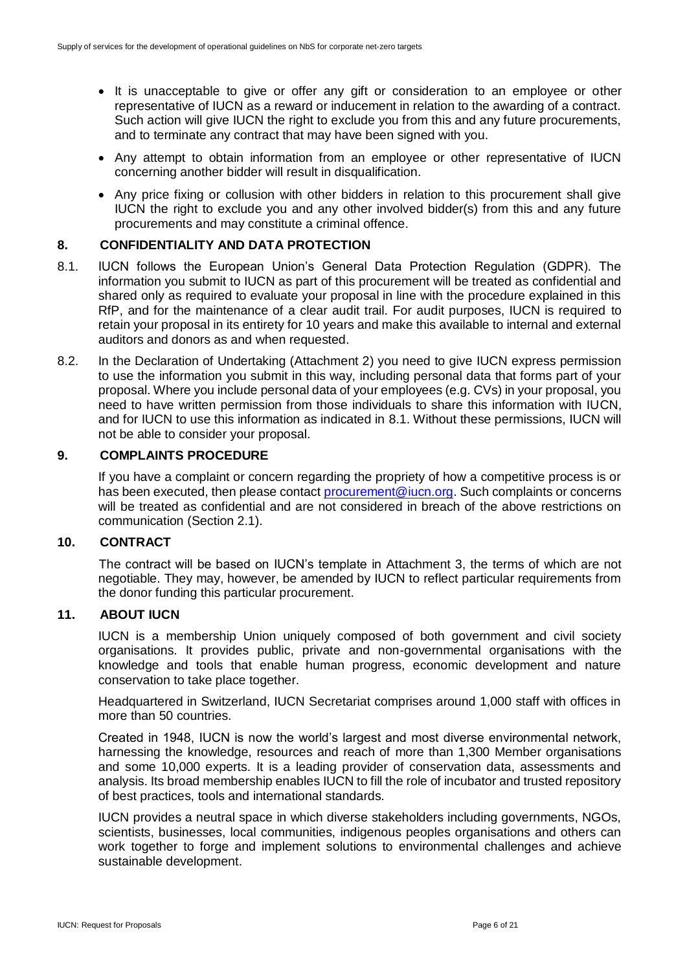- It is unacceptable to give or offer any gift or consideration to an employee or other representative of IUCN as a reward or inducement in relation to the awarding of a contract. Such action will give IUCN the right to exclude you from this and any future procurements, and to terminate any contract that may have been signed with you.
- Any attempt to obtain information from an employee or other representative of IUCN concerning another bidder will result in disqualification.
- Any price fixing or collusion with other bidders in relation to this procurement shall give IUCN the right to exclude you and any other involved bidder(s) from this and any future procurements and may constitute a criminal offence.

## **8. CONFIDENTIALITY AND DATA PROTECTION**

- 8.1. IUCN follows the European Union's General Data Protection Regulation (GDPR). The information you submit to IUCN as part of this procurement will be treated as confidential and shared only as required to evaluate your proposal in line with the procedure explained in this RfP, and for the maintenance of a clear audit trail. For audit purposes, IUCN is required to retain your proposal in its entirety for 10 years and make this available to internal and external auditors and donors as and when requested.
- 8.2. In the Declaration of Undertaking (Attachment 2) you need to give IUCN express permission to use the information you submit in this way, including personal data that forms part of your proposal. Where you include personal data of your employees (e.g. CVs) in your proposal, you need to have written permission from those individuals to share this information with IUCN, and for IUCN to use this information as indicated in 8.1. Without these permissions, IUCN will not be able to consider your proposal.

## **9. COMPLAINTS PROCEDURE**

If you have a complaint or concern regarding the propriety of how a competitive process is or has been executed, then please contact [procurement@iucn.org.](mailto:procurement@iucn.org) Such complaints or concerns will be treated as confidential and are not considered in breach of the above restrictions on communication (Section 2.1).

#### **10. CONTRACT**

The contract will be based on IUCN's template in Attachment 3, the terms of which are not negotiable. They may, however, be amended by IUCN to reflect particular requirements from the donor funding this particular procurement.

# **11. ABOUT IUCN**

IUCN is a membership Union uniquely composed of both government and civil society organisations. It provides public, private and non-governmental organisations with the knowledge and tools that enable human progress, economic development and nature conservation to take place together.

Headquartered in Switzerland, IUCN Secretariat comprises around 1,000 staff with offices in more than 50 countries.

Created in 1948, IUCN is now the world's largest and most diverse environmental network, harnessing the knowledge, resources and reach of more than 1,300 Member organisations and some 10,000 experts. It is a leading provider of conservation data, assessments and analysis. Its broad membership enables IUCN to fill the role of incubator and trusted repository of best practices, tools and international standards.

IUCN provides a neutral space in which diverse stakeholders including governments, NGOs, scientists, businesses, local communities, indigenous peoples organisations and others can work together to forge and implement solutions to environmental challenges and achieve sustainable development.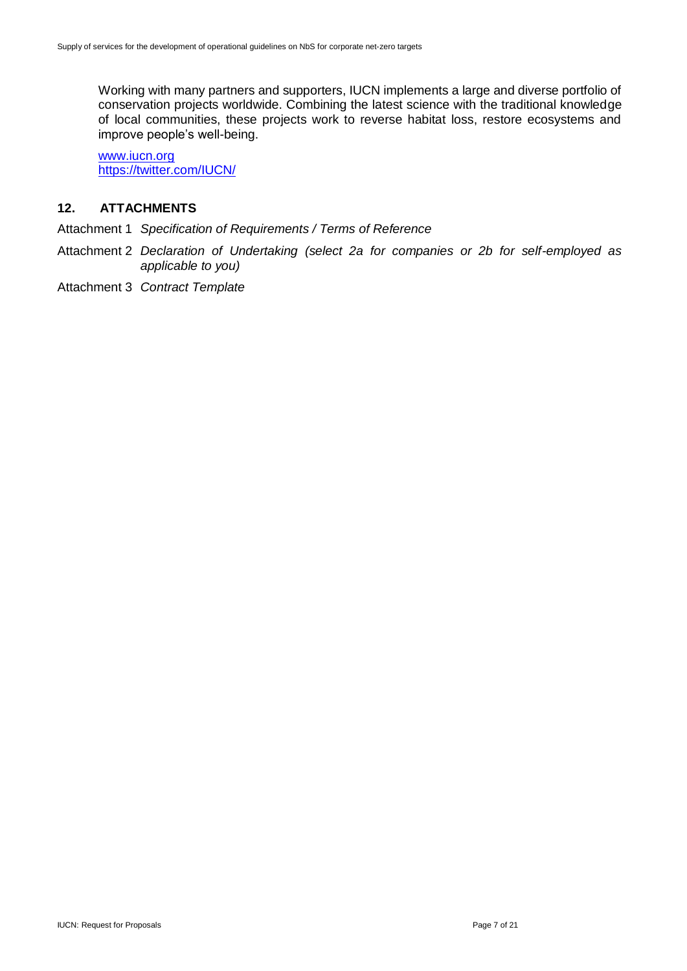Working with many partners and supporters, IUCN implements a large and diverse portfolio of conservation projects worldwide. Combining the latest science with the traditional knowledge of local communities, these projects work to reverse habitat loss, restore ecosystems and improve people's well-being.

[www.iucn.org](http://www.iucn.org/) <https://twitter.com/IUCN/>

# **12. ATTACHMENTS**

Attachment 1 *Specification of Requirements / Terms of Reference*

- Attachment 2 *Declaration of Undertaking (select 2a for companies or 2b for self-employed as applicable to you)*
- Attachment 3 *Contract Template*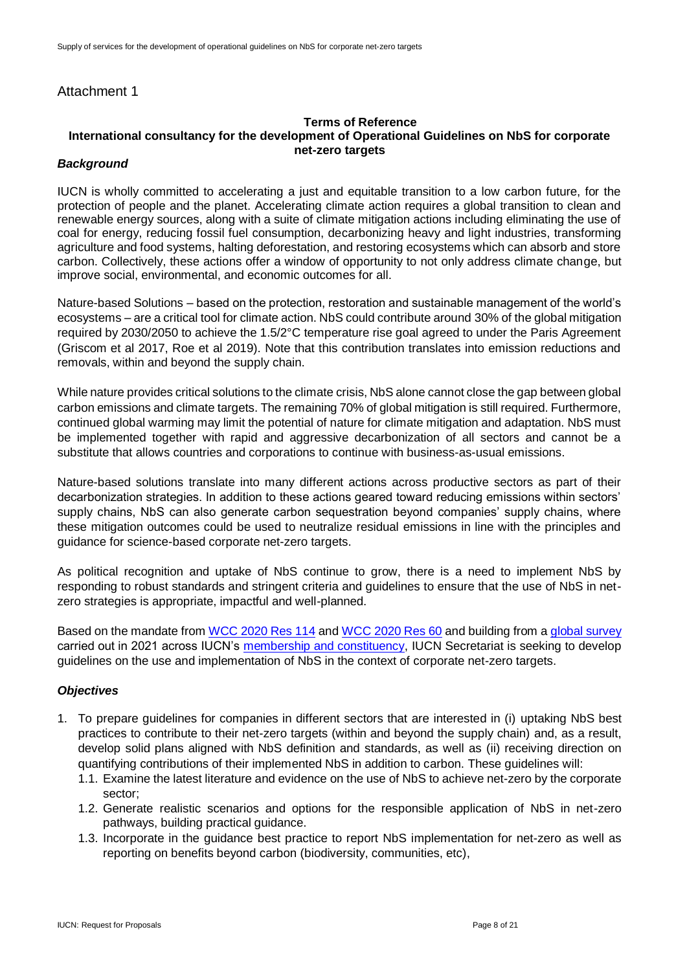# Attachment 1

## **Terms of Reference International consultancy for the development of Operational Guidelines on NbS for corporate net-zero targets**

#### *Background*

IUCN is wholly committed to accelerating a just and equitable transition to a low carbon future, for the protection of people and the planet. Accelerating climate action requires a global transition to clean and renewable energy sources, along with a suite of climate mitigation actions including eliminating the use of coal for energy, reducing fossil fuel consumption, decarbonizing heavy and light industries, transforming agriculture and food systems, halting deforestation, and restoring ecosystems which can absorb and store carbon. Collectively, these actions offer a window of opportunity to not only address climate change, but improve social, environmental, and economic outcomes for all.

Nature-based Solutions – based on the protection, restoration and sustainable management of the world's ecosystems – are a critical tool for climate action. NbS could contribute around 30% of the global mitigation required by 2030/2050 to achieve the 1.5/2°C temperature rise goal agreed to under the Paris Agreement (Griscom et al 2017, Roe et al 2019). Note that this contribution translates into emission reductions and removals, within and beyond the supply chain.

While nature provides critical solutions to the climate crisis, NbS alone cannot close the gap between global carbon emissions and climate targets. The remaining 70% of global mitigation is still required. Furthermore, continued global warming may limit the potential of nature for climate mitigation and adaptation. NbS must be implemented together with rapid and aggressive decarbonization of all sectors and cannot be a substitute that allows countries and corporations to continue with business-as-usual emissions.

Nature-based solutions translate into many different actions across productive sectors as part of their decarbonization strategies. In addition to these actions geared toward reducing emissions within sectors' supply chains, NbS can also generate carbon sequestration beyond companies' supply chains, where these mitigation outcomes could be used to neutralize residual emissions in line with the principles and guidance for science-based corporate net-zero targets.

As political recognition and uptake of NbS continue to grow, there is a need to implement NbS by responding to robust standards and stringent criteria and guidelines to ensure that the use of NbS in netzero strategies is appropriate, impactful and well-planned.

Based on the mandate from [WCC 2020 Res 114](https://portals.iucn.org/library/node/49786) and [WCC 2020 Res 60](https://portals.iucn.org/library/node/49199) and building from a [global survey](hhttps://drive.google.com/drive/folders/1xBje97ianxC8-WulgdwOxkIRp_tLlRgg) carried out in 2021 across IUCN's [membership and constituency,](https://www.youtube.com/watch?v=hIct7jxNiIM) IUCN Secretariat is seeking to develop guidelines on the use and implementation of NbS in the context of corporate net-zero targets.

#### *Objectives*

- 1. To prepare guidelines for companies in different sectors that are interested in (i) uptaking NbS best practices to contribute to their net-zero targets (within and beyond the supply chain) and, as a result, develop solid plans aligned with NbS definition and standards, as well as (ii) receiving direction on quantifying contributions of their implemented NbS in addition to carbon. These guidelines will:
	- 1.1. Examine the latest literature and evidence on the use of NbS to achieve net-zero by the corporate sector;
	- 1.2. Generate realistic scenarios and options for the responsible application of NbS in net-zero pathways, building practical guidance.
	- 1.3. Incorporate in the guidance best practice to report NbS implementation for net-zero as well as reporting on benefits beyond carbon (biodiversity, communities, etc),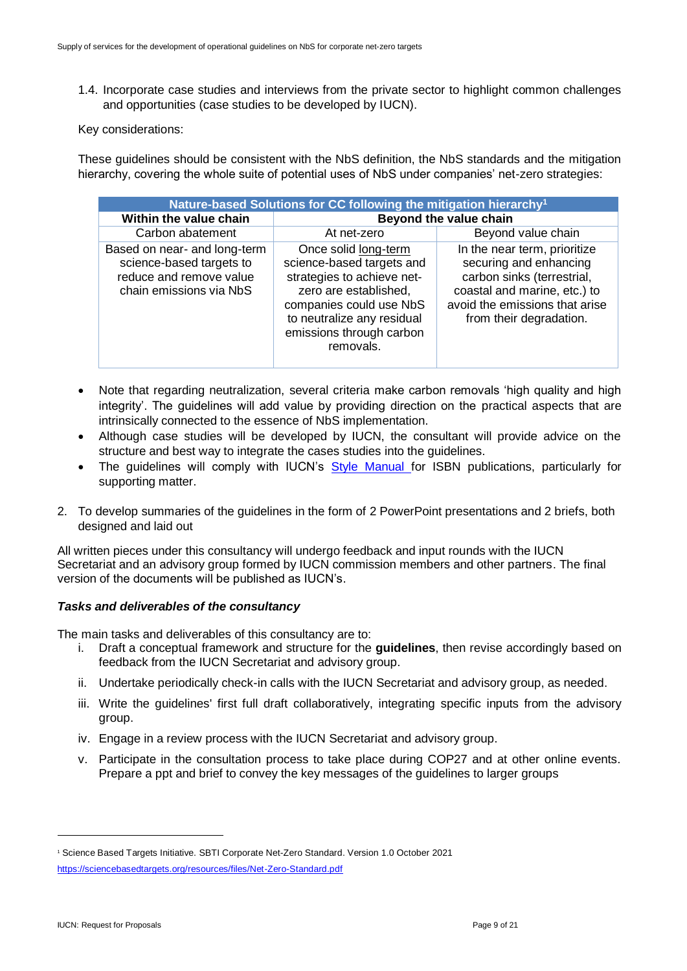1.4. Incorporate case studies and interviews from the private sector to highlight common challenges and opportunities (case studies to be developed by IUCN).

Key considerations:

These guidelines should be consistent with the NbS definition, the NbS standards and the mitigation hierarchy, covering the whole suite of potential uses of NbS under companies' net-zero strategies:

| Nature-based Solutions for CC following the mitigation hierarchy <sup>1</sup>                                  |                                                                                                                                                                                                            |                                                                                                                                                                                   |  |  |  |  |  |  |  |
|----------------------------------------------------------------------------------------------------------------|------------------------------------------------------------------------------------------------------------------------------------------------------------------------------------------------------------|-----------------------------------------------------------------------------------------------------------------------------------------------------------------------------------|--|--|--|--|--|--|--|
| Within the value chain                                                                                         | Beyond the value chain                                                                                                                                                                                     |                                                                                                                                                                                   |  |  |  |  |  |  |  |
| Carbon abatement                                                                                               | At net-zero                                                                                                                                                                                                | Beyond value chain                                                                                                                                                                |  |  |  |  |  |  |  |
| Based on near- and long-term<br>science-based targets to<br>reduce and remove value<br>chain emissions via NbS | Once solid long-term<br>science-based targets and<br>strategies to achieve net-<br>zero are established,<br>companies could use NbS<br>to neutralize any residual<br>emissions through carbon<br>removals. | In the near term, prioritize<br>securing and enhancing<br>carbon sinks (terrestrial,<br>coastal and marine, etc.) to<br>avoid the emissions that arise<br>from their degradation. |  |  |  |  |  |  |  |

- Note that regarding neutralization, several criteria make carbon removals 'high quality and high integrity'. The guidelines will add value by providing direction on the practical aspects that are intrinsically connected to the essence of NbS implementation.
- Although case studies will be developed by IUCN, the consultant will provide advice on the structure and best way to integrate the cases studies into the guidelines.
- The guidelines will comply with IUCN's [Style Manual f](https://www.iucn.org/sites/dev/files/iucn_style_manual_v.1.4_2019.pdf)or ISBN publications, particularly for supporting matter.
- 2. To develop summaries of the guidelines in the form of 2 PowerPoint presentations and 2 briefs, both designed and laid out

All written pieces under this consultancy will undergo feedback and input rounds with the IUCN Secretariat and an advisory group formed by IUCN commission members and other partners. The final version of the documents will be published as IUCN's.

## *Tasks and deliverables of the consultancy*

The main tasks and deliverables of this consultancy are to:

- i. Draft a conceptual framework and structure for the **guidelines**, then revise accordingly based on feedback from the IUCN Secretariat and advisory group.
- ii. Undertake periodically check-in calls with the IUCN Secretariat and advisory group, as needed.
- iii. Write the quidelines' first full draft collaboratively, integrating specific inputs from the advisory group.
- iv. Engage in a review process with the IUCN Secretariat and advisory group.
- v. Participate in the consultation process to take place during COP27 and at other online events. Prepare a ppt and brief to convey the key messages of the guidelines to larger groups

 $\overline{a}$ 

<sup>1</sup> Science Based Targets Initiative. SBTI Corporate Net-Zero Standard. Version 1.0 October 2021 <https://sciencebasedtargets.org/resources/files/Net-Zero-Standard.pdf>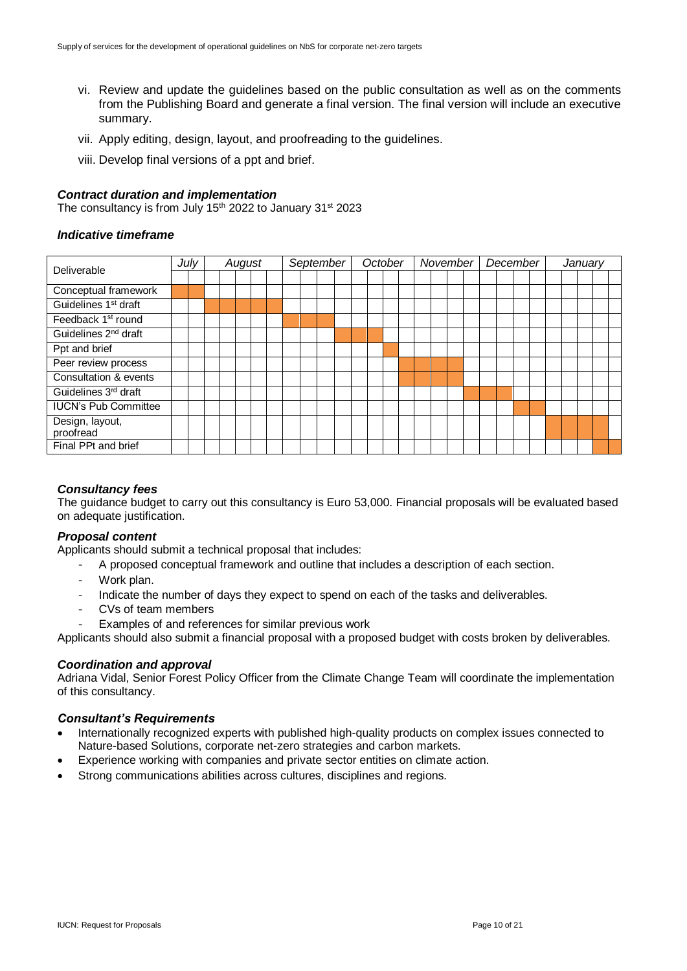- vi. Review and update the guidelines based on the public consultation as well as on the comments from the Publishing Board and generate a final version. The final version will include an executive summary.
- vii. Apply editing, design, layout, and proofreading to the guidelines.
- viii. Develop final versions of a ppt and brief.

#### *Contract duration and implementation*

The consultancy is from July 15<sup>th</sup> 2022 to January 31<sup>st</sup> 2023

#### *Indicative timeframe*

| Deliverable                      |  | Julv<br>August |  |  | September |  |  |  |  | October |  |  | November |  |  |  | December |  |  |  | Januarv |  |  |  |  |  |  |
|----------------------------------|--|----------------|--|--|-----------|--|--|--|--|---------|--|--|----------|--|--|--|----------|--|--|--|---------|--|--|--|--|--|--|
|                                  |  |                |  |  |           |  |  |  |  |         |  |  |          |  |  |  |          |  |  |  |         |  |  |  |  |  |  |
| Conceptual framework             |  |                |  |  |           |  |  |  |  |         |  |  |          |  |  |  |          |  |  |  |         |  |  |  |  |  |  |
| Guidelines 1 <sup>st</sup> draft |  |                |  |  |           |  |  |  |  |         |  |  |          |  |  |  |          |  |  |  |         |  |  |  |  |  |  |
| Feedback 1 <sup>st</sup> round   |  |                |  |  |           |  |  |  |  |         |  |  |          |  |  |  |          |  |  |  |         |  |  |  |  |  |  |
| Guidelines 2 <sup>nd</sup> draft |  |                |  |  |           |  |  |  |  |         |  |  |          |  |  |  |          |  |  |  |         |  |  |  |  |  |  |
| Ppt and brief                    |  |                |  |  |           |  |  |  |  |         |  |  |          |  |  |  |          |  |  |  |         |  |  |  |  |  |  |
| Peer review process              |  |                |  |  |           |  |  |  |  |         |  |  |          |  |  |  |          |  |  |  |         |  |  |  |  |  |  |
| Consultation & events            |  |                |  |  |           |  |  |  |  |         |  |  |          |  |  |  |          |  |  |  |         |  |  |  |  |  |  |
| Guidelines 3rd draft             |  |                |  |  |           |  |  |  |  |         |  |  |          |  |  |  |          |  |  |  |         |  |  |  |  |  |  |
| <b>IUCN's Pub Committee</b>      |  |                |  |  |           |  |  |  |  |         |  |  |          |  |  |  |          |  |  |  |         |  |  |  |  |  |  |
| Design, layout,                  |  |                |  |  |           |  |  |  |  |         |  |  |          |  |  |  |          |  |  |  |         |  |  |  |  |  |  |
| proofread                        |  |                |  |  |           |  |  |  |  |         |  |  |          |  |  |  |          |  |  |  |         |  |  |  |  |  |  |
| Final PPt and brief              |  |                |  |  |           |  |  |  |  |         |  |  |          |  |  |  |          |  |  |  |         |  |  |  |  |  |  |

#### *Consultancy fees*

The guidance budget to carry out this consultancy is Euro 53,000. Financial proposals will be evaluated based on adequate justification.

#### *Proposal content*

Applicants should submit a technical proposal that includes:

- A proposed conceptual framework and outline that includes a description of each section.
- Work plan.
- Indicate the number of days they expect to spend on each of the tasks and deliverables.
- CVs of team members
- Examples of and references for similar previous work

Applicants should also submit a financial proposal with a proposed budget with costs broken by deliverables.

#### *Coordination and approval*

Adriana Vidal, Senior Forest Policy Officer from the Climate Change Team will coordinate the implementation of this consultancy.

#### *Consultant's Requirements*

- Internationally recognized experts with published high-quality products on complex issues connected to Nature-based Solutions, corporate net-zero strategies and carbon markets.
- Experience working with companies and private sector entities on climate action.
- Strong communications abilities across cultures, disciplines and regions.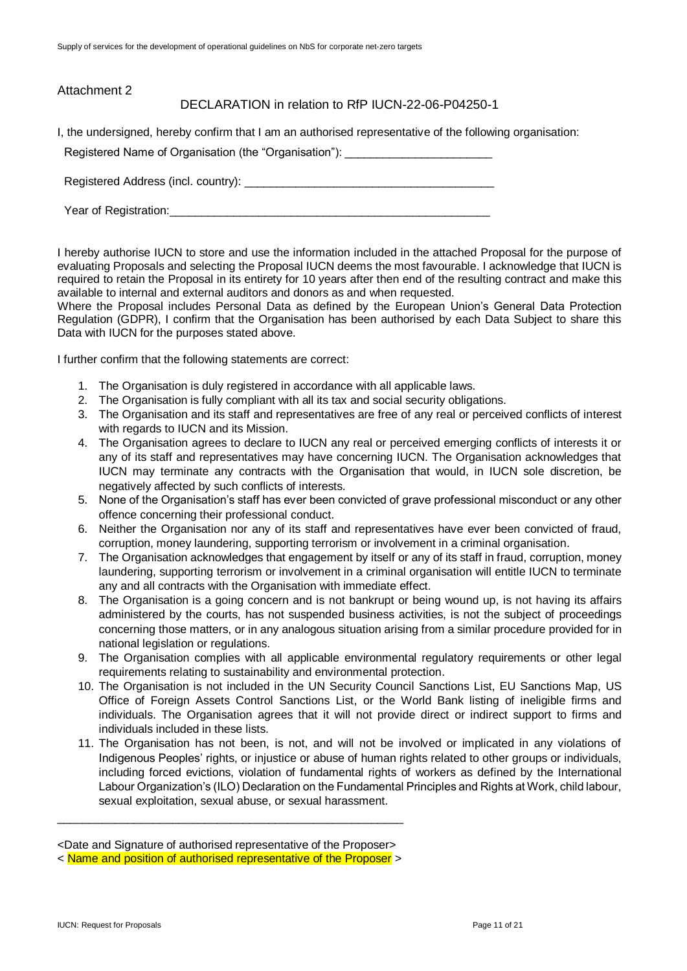| Attachment 2          |                                                                                                                                                                                              |
|-----------------------|----------------------------------------------------------------------------------------------------------------------------------------------------------------------------------------------|
|                       | DECLARATION in relation to RfP IUCN-22-06-P04250-1                                                                                                                                           |
|                       | I, the undersigned, hereby confirm that I am an authorised representative of the following organisation:<br>Registered Name of Organisation (the "Organisation"): __________________________ |
|                       |                                                                                                                                                                                              |
| Year of Registration: |                                                                                                                                                                                              |

I hereby authorise IUCN to store and use the information included in the attached Proposal for the purpose of evaluating Proposals and selecting the Proposal IUCN deems the most favourable. I acknowledge that IUCN is required to retain the Proposal in its entirety for 10 years after then end of the resulting contract and make this available to internal and external auditors and donors as and when requested.

Where the Proposal includes Personal Data as defined by the European Union's General Data Protection Regulation (GDPR), I confirm that the Organisation has been authorised by each Data Subject to share this Data with IUCN for the purposes stated above.

I further confirm that the following statements are correct:

- 1. The Organisation is duly registered in accordance with all applicable laws.
- 2. The Organisation is fully compliant with all its tax and social security obligations.
- 3. The Organisation and its staff and representatives are free of any real or perceived conflicts of interest with regards to IUCN and its Mission.
- 4. The Organisation agrees to declare to IUCN any real or perceived emerging conflicts of interests it or any of its staff and representatives may have concerning IUCN. The Organisation acknowledges that IUCN may terminate any contracts with the Organisation that would, in IUCN sole discretion, be negatively affected by such conflicts of interests.
- 5. None of the Organisation's staff has ever been convicted of grave professional misconduct or any other offence concerning their professional conduct.
- 6. Neither the Organisation nor any of its staff and representatives have ever been convicted of fraud, corruption, money laundering, supporting terrorism or involvement in a criminal organisation.
- 7. The Organisation acknowledges that engagement by itself or any of its staff in fraud, corruption, money laundering, supporting terrorism or involvement in a criminal organisation will entitle IUCN to terminate any and all contracts with the Organisation with immediate effect.
- 8. The Organisation is a going concern and is not bankrupt or being wound up, is not having its affairs administered by the courts, has not suspended business activities, is not the subject of proceedings concerning those matters, or in any analogous situation arising from a similar procedure provided for in national legislation or regulations.
- 9. The Organisation complies with all applicable environmental regulatory requirements or other legal requirements relating to sustainability and environmental protection.
- 10. The Organisation is not included in the UN Security Council Sanctions List, EU Sanctions Map, US Office of Foreign Assets Control Sanctions List, or the World Bank listing of ineligible firms and individuals. The Organisation agrees that it will not provide direct or indirect support to firms and individuals included in these lists.
- 11. The Organisation has not been, is not, and will not be involved or implicated in any violations of Indigenous Peoples' rights, or injustice or abuse of human rights related to other groups or individuals, including forced evictions, violation of fundamental rights of workers as defined by the International Labour Organization's (ILO) Declaration on the Fundamental Principles and Rights at Work, child labour, sexual exploitation, sexual abuse, or sexual harassment.

\_\_\_\_\_\_\_\_\_\_\_\_\_\_\_\_\_\_\_\_\_\_\_\_\_\_\_\_\_\_\_\_\_\_\_\_\_\_\_\_\_\_\_\_\_\_\_\_\_\_\_\_\_\_

<sup>&</sup>lt;Date and Signature of authorised representative of the Proposer>

<sup>&</sup>lt; Name and position of authorised representative of the Proposer >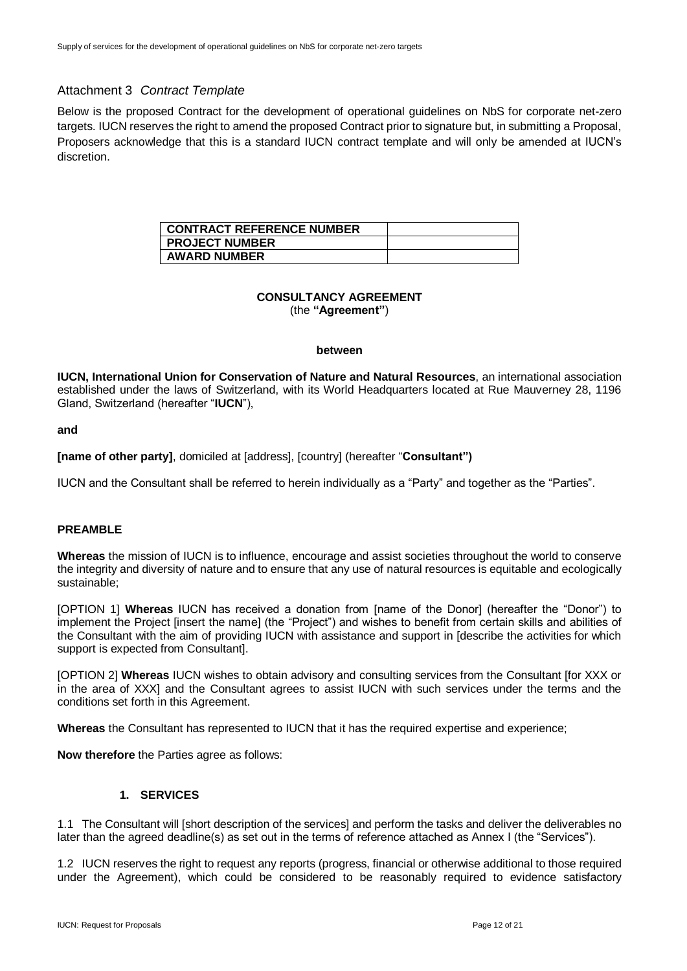#### Attachment 3 *Contract Template*

Below is the proposed Contract for the development of operational guidelines on NbS for corporate net-zero targets. IUCN reserves the right to amend the proposed Contract prior to signature but, in submitting a Proposal, Proposers acknowledge that this is a standard IUCN contract template and will only be amended at IUCN's discretion.

| <b>CONTRACT REFERENCE NUMBER</b> |  |
|----------------------------------|--|
| <b>PROJECT NUMBER</b>            |  |
| <b>AWARD NUMBER</b>              |  |

#### **CONSULTANCY AGREEMENT** (the **"Agreement"**)

#### **between**

**IUCN, International Union for Conservation of Nature and Natural Resources**, an international association established under the laws of Switzerland, with its World Headquarters located at Rue Mauverney 28, 1196 Gland, Switzerland (hereafter "**IUCN**"),

**and**

**[name of other party]**, domiciled at [address], [country] (hereafter "**Consultant")**

IUCN and the Consultant shall be referred to herein individually as a "Party" and together as the "Parties".

#### **PREAMBLE**

**Whereas** the mission of IUCN is to influence, encourage and assist societies throughout the world to conserve the integrity and diversity of nature and to ensure that any use of natural resources is equitable and ecologically sustainable;

[OPTION 1] **Whereas** IUCN has received a donation from [name of the Donor] (hereafter the "Donor") to implement the Project [insert the name] (the "Project") and wishes to benefit from certain skills and abilities of the Consultant with the aim of providing IUCN with assistance and support in [describe the activities for which support is expected from Consultant].

[OPTION 2] **Whereas** IUCN wishes to obtain advisory and consulting services from the Consultant [for XXX or in the area of XXX] and the Consultant agrees to assist IUCN with such services under the terms and the conditions set forth in this Agreement.

**Whereas** the Consultant has represented to IUCN that it has the required expertise and experience;

**Now therefore** the Parties agree as follows:

#### **1. SERVICES**

1.1 The Consultant will [short description of the services] and perform the tasks and deliver the deliverables no later than the agreed deadline(s) as set out in the terms of reference attached as Annex I (the "Services").

1.2 IUCN reserves the right to request any reports (progress, financial or otherwise additional to those required under the Agreement), which could be considered to be reasonably required to evidence satisfactory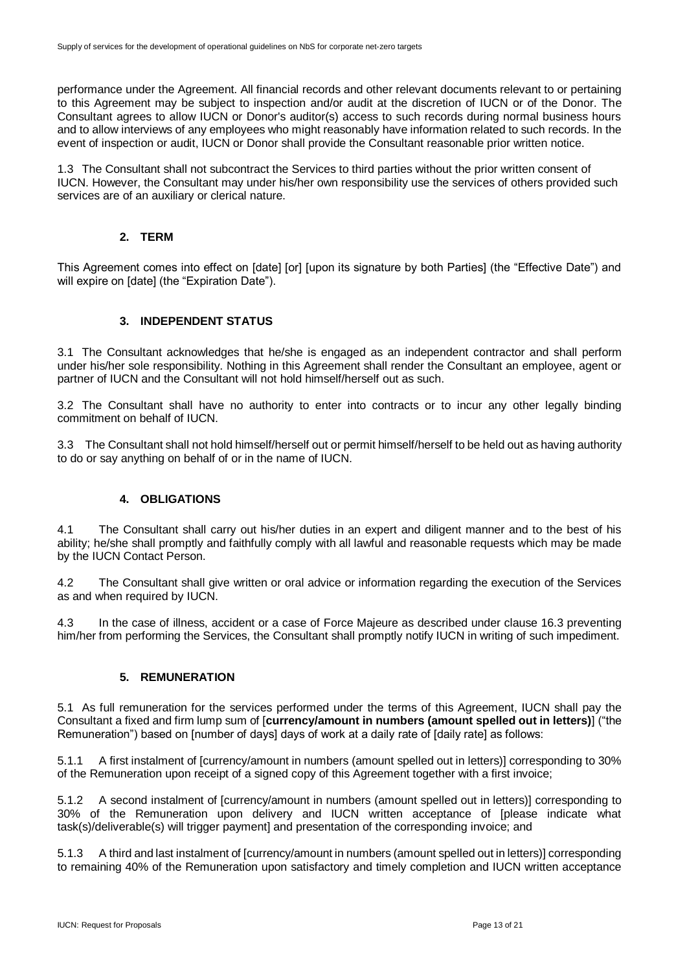performance under the Agreement. All financial records and other relevant documents relevant to or pertaining to this Agreement may be subject to inspection and/or audit at the discretion of IUCN or of the Donor. The Consultant agrees to allow IUCN or Donor's auditor(s) access to such records during normal business hours and to allow interviews of any employees who might reasonably have information related to such records. In the event of inspection or audit, IUCN or Donor shall provide the Consultant reasonable prior written notice.

1.3 The Consultant shall not subcontract the Services to third parties without the prior written consent of IUCN. However, the Consultant may under his/her own responsibility use the services of others provided such services are of an auxiliary or clerical nature.

#### **2. TERM**

This Agreement comes into effect on [date] [or] [upon its signature by both Parties] (the "Effective Date") and will expire on [date] (the "Expiration Date").

## **3. INDEPENDENT STATUS**

3.1 The Consultant acknowledges that he/she is engaged as an independent contractor and shall perform under his/her sole responsibility. Nothing in this Agreement shall render the Consultant an employee, agent or partner of IUCN and the Consultant will not hold himself/herself out as such.

3.2 The Consultant shall have no authority to enter into contracts or to incur any other legally binding commitment on behalf of IUCN.

3.3 The Consultant shall not hold himself/herself out or permit himself/herself to be held out as having authority to do or say anything on behalf of or in the name of IUCN.

#### **4. OBLIGATIONS**

4.1 The Consultant shall carry out his/her duties in an expert and diligent manner and to the best of his ability; he/she shall promptly and faithfully comply with all lawful and reasonable requests which may be made by the IUCN Contact Person.

4.2 The Consultant shall give written or oral advice or information regarding the execution of the Services as and when required by IUCN.

4.3 In the case of illness, accident or a case of Force Majeure as described under clause 16.3 preventing him/her from performing the Services, the Consultant shall promptly notify IUCN in writing of such impediment.

#### **5. REMUNERATION**

5.1 As full remuneration for the services performed under the terms of this Agreement, IUCN shall pay the Consultant a fixed and firm lump sum of [**currency/amount in numbers (amount spelled out in letters)**] ("the Remuneration") based on [number of days] days of work at a daily rate of [daily rate] as follows:

5.1.1 A first instalment of [currency/amount in numbers (amount spelled out in letters)] corresponding to 30% of the Remuneration upon receipt of a signed copy of this Agreement together with a first invoice;

5.1.2 A second instalment of [currency/amount in numbers (amount spelled out in letters)] corresponding to 30% of the Remuneration upon delivery and IUCN written acceptance of [please indicate what task(s)/deliverable(s) will trigger payment] and presentation of the corresponding invoice; and

5.1.3 A third and last instalment of [currency/amount in numbers (amount spelled out in letters)] corresponding to remaining 40% of the Remuneration upon satisfactory and timely completion and IUCN written acceptance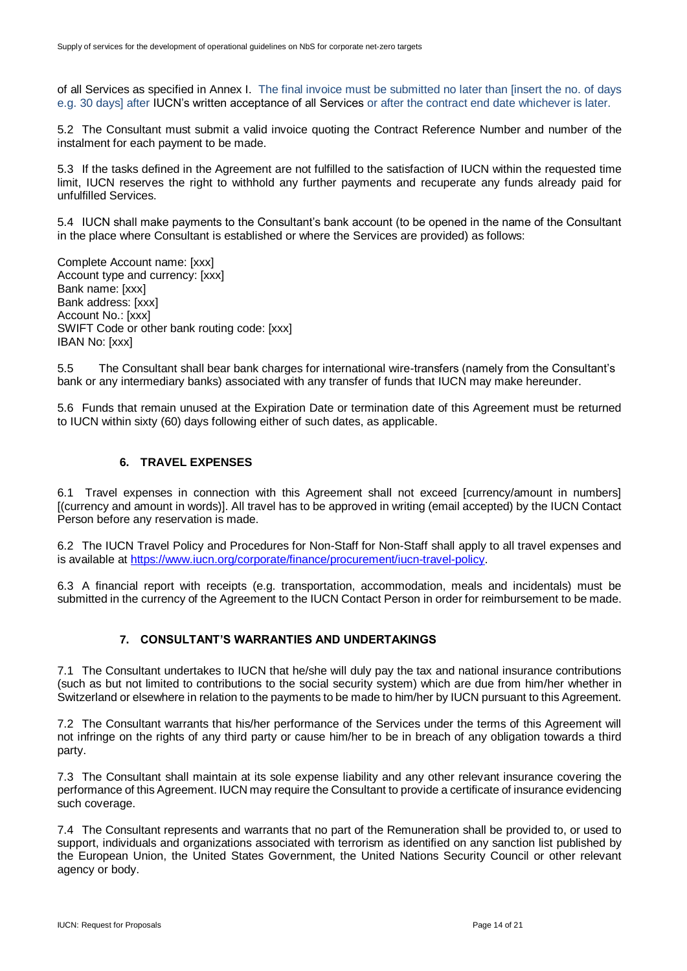of all Services as specified in Annex I. The final invoice must be submitted no later than [insert the no. of days e.g. 30 days] after IUCN's written acceptance of all Services or after the contract end date whichever is later.

5.2 The Consultant must submit a valid invoice quoting the Contract Reference Number and number of the instalment for each payment to be made.

5.3 If the tasks defined in the Agreement are not fulfilled to the satisfaction of IUCN within the requested time limit, IUCN reserves the right to withhold any further payments and recuperate any funds already paid for unfulfilled Services.

5.4 IUCN shall make payments to the Consultant's bank account (to be opened in the name of the Consultant in the place where Consultant is established or where the Services are provided) as follows:

Complete Account name: [xxx] Account type and currency: [xxx] Bank name: [xxx] Bank address: [xxx] Account No.: [xxx] SWIFT Code or other bank routing code: [xxx] IBAN No: [xxx]

5.5 The Consultant shall bear bank charges for international wire-transfers (namely from the Consultant's bank or any intermediary banks) associated with any transfer of funds that IUCN may make hereunder.

5.6 Funds that remain unused at the Expiration Date or termination date of this Agreement must be returned to IUCN within sixty (60) days following either of such dates, as applicable.

#### **6. TRAVEL EXPENSES**

6.1 Travel expenses in connection with this Agreement shall not exceed [currency/amount in numbers] [(currency and amount in words)]. All travel has to be approved in writing (email accepted) by the IUCN Contact Person before any reservation is made.

6.2 The IUCN Travel Policy and Procedures for Non-Staff for Non-Staff shall apply to all travel expenses and is available at [https://www.iucn.org/corporate/finance/procurement/iucn-travel-policy.](https://www.iucn.org/corporate/finance/procurement/iucn-travel-policy)

6.3 A financial report with receipts (e.g. transportation, accommodation, meals and incidentals) must be submitted in the currency of the Agreement to the IUCN Contact Person in order for reimbursement to be made.

#### **7. CONSULTANT'S WARRANTIES AND UNDERTAKINGS**

7.1 The Consultant undertakes to IUCN that he/she will duly pay the tax and national insurance contributions (such as but not limited to contributions to the social security system) which are due from him/her whether in Switzerland or elsewhere in relation to the payments to be made to him/her by IUCN pursuant to this Agreement.

7.2 The Consultant warrants that his/her performance of the Services under the terms of this Agreement will not infringe on the rights of any third party or cause him/her to be in breach of any obligation towards a third party.

7.3 The Consultant shall maintain at its sole expense liability and any other relevant insurance covering the performance of this Agreement. IUCN may require the Consultant to provide a certificate of insurance evidencing such coverage.

7.4 The Consultant represents and warrants that no part of the Remuneration shall be provided to, or used to support, individuals and organizations associated with terrorism as identified on any sanction list published by the European Union, the United States Government, the United Nations Security Council or other relevant agency or body.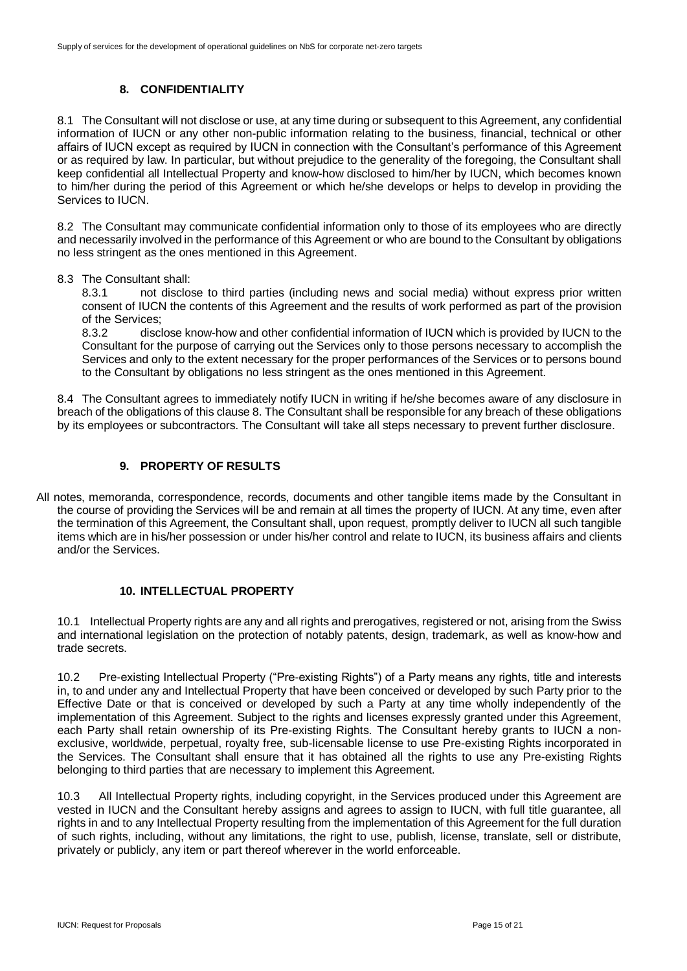## **8. CONFIDENTIALITY**

8.1 The Consultant will not disclose or use, at any time during or subsequent to this Agreement, any confidential information of IUCN or any other non-public information relating to the business, financial, technical or other affairs of IUCN except as required by IUCN in connection with the Consultant's performance of this Agreement or as required by law. In particular, but without prejudice to the generality of the foregoing, the Consultant shall keep confidential all Intellectual Property and know-how disclosed to him/her by IUCN, which becomes known to him/her during the period of this Agreement or which he/she develops or helps to develop in providing the Services to IUCN.

8.2 The Consultant may communicate confidential information only to those of its employees who are directly and necessarily involved in the performance of this Agreement or who are bound to the Consultant by obligations no less stringent as the ones mentioned in this Agreement.

#### 8.3 The Consultant shall:

8.3.1 not disclose to third parties (including news and social media) without express prior written consent of IUCN the contents of this Agreement and the results of work performed as part of the provision of the Services;

8.3.2 disclose know-how and other confidential information of IUCN which is provided by IUCN to the Consultant for the purpose of carrying out the Services only to those persons necessary to accomplish the Services and only to the extent necessary for the proper performances of the Services or to persons bound to the Consultant by obligations no less stringent as the ones mentioned in this Agreement.

8.4 The Consultant agrees to immediately notify IUCN in writing if he/she becomes aware of any disclosure in breach of the obligations of this clause 8. The Consultant shall be responsible for any breach of these obligations by its employees or subcontractors. The Consultant will take all steps necessary to prevent further disclosure.

## **9. PROPERTY OF RESULTS**

All notes, memoranda, correspondence, records, documents and other tangible items made by the Consultant in the course of providing the Services will be and remain at all times the property of IUCN. At any time, even after the termination of this Agreement, the Consultant shall, upon request, promptly deliver to IUCN all such tangible items which are in his/her possession or under his/her control and relate to IUCN, its business affairs and clients and/or the Services.

#### **10. INTELLECTUAL PROPERTY**

10.1 Intellectual Property rights are any and all rights and prerogatives, registered or not, arising from the Swiss and international legislation on the protection of notably patents, design, trademark, as well as know-how and trade secrets.

10.2 Pre-existing Intellectual Property ("Pre-existing Rights") of a Party means any rights, title and interests in, to and under any and Intellectual Property that have been conceived or developed by such Party prior to the Effective Date or that is conceived or developed by such a Party at any time wholly independently of the implementation of this Agreement. Subject to the rights and licenses expressly granted under this Agreement, each Party shall retain ownership of its Pre-existing Rights. The Consultant hereby grants to IUCN a nonexclusive, worldwide, perpetual, royalty free, sub-licensable license to use Pre-existing Rights incorporated in the Services. The Consultant shall ensure that it has obtained all the rights to use any Pre-existing Rights belonging to third parties that are necessary to implement this Agreement.

10.3 All Intellectual Property rights, including copyright, in the Services produced under this Agreement are vested in IUCN and the Consultant hereby assigns and agrees to assign to IUCN, with full title guarantee, all rights in and to any Intellectual Property resulting from the implementation of this Agreement for the full duration of such rights, including, without any limitations, the right to use, publish, license, translate, sell or distribute, privately or publicly, any item or part thereof wherever in the world enforceable.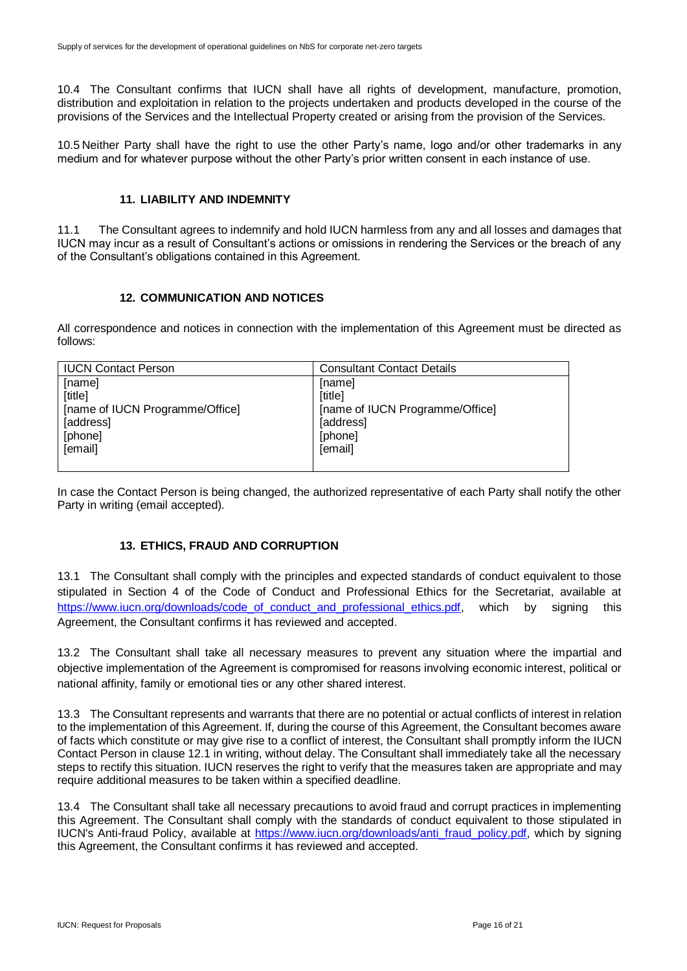10.4 The Consultant confirms that IUCN shall have all rights of development, manufacture, promotion, distribution and exploitation in relation to the projects undertaken and products developed in the course of the provisions of the Services and the Intellectual Property created or arising from the provision of the Services.

10.5 Neither Party shall have the right to use the other Party's name, logo and/or other trademarks in any medium and for whatever purpose without the other Party's prior written consent in each instance of use.

#### **11. LIABILITY AND INDEMNITY**

11.1 The Consultant agrees to indemnify and hold IUCN harmless from any and all losses and damages that IUCN may incur as a result of Consultant's actions or omissions in rendering the Services or the breach of any of the Consultant's obligations contained in this Agreement.

## **12. COMMUNICATION AND NOTICES**

All correspondence and notices in connection with the implementation of this Agreement must be directed as follows:

| <b>IUCN Contact Person</b>      | <b>Consultant Contact Details</b> |
|---------------------------------|-----------------------------------|
| [name]                          | [name]                            |
| [title]                         | [title]                           |
| [name of IUCN Programme/Office] | [name of IUCN Programme/Office]   |
| [address]                       | [address]                         |
| [phone]                         | [phone]                           |
| [email]                         | [email]                           |
|                                 |                                   |

In case the Contact Person is being changed, the authorized representative of each Party shall notify the other Party in writing (email accepted).

#### **13. ETHICS, FRAUD AND CORRUPTION**

13.1 The Consultant shall comply with the principles and expected standards of conduct equivalent to those stipulated in Section 4 of the Code of Conduct and Professional Ethics for the Secretariat, available at https://www.iucn.org/downloads/code of conduct and professional ethics.pdf, which by signing this Agreement, the Consultant confirms it has reviewed and accepted.

13.2 The Consultant shall take all necessary measures to prevent any situation where the impartial and objective implementation of the Agreement is compromised for reasons involving economic interest, political or national affinity, family or emotional ties or any other shared interest.

13.3 The Consultant represents and warrants that there are no potential or actual conflicts of interest in relation to the implementation of this Agreement. If, during the course of this Agreement, the Consultant becomes aware of facts which constitute or may give rise to a conflict of interest, the Consultant shall promptly inform the IUCN Contact Person in clause 12.1 in writing, without delay. The Consultant shall immediately take all the necessary steps to rectify this situation. IUCN reserves the right to verify that the measures taken are appropriate and may require additional measures to be taken within a specified deadline.

13.4 The Consultant shall take all necessary precautions to avoid fraud and corrupt practices in implementing this Agreement. The Consultant shall comply with the standards of conduct equivalent to those stipulated in IUCN's Anti-fraud Policy, available at [https://www.iucn.org/downloads/anti\\_fraud\\_policy.pdf,](https://www.iucn.org/downloads/anti_fraud_policy.pdf) which by signing this Agreement, the Consultant confirms it has reviewed and accepted.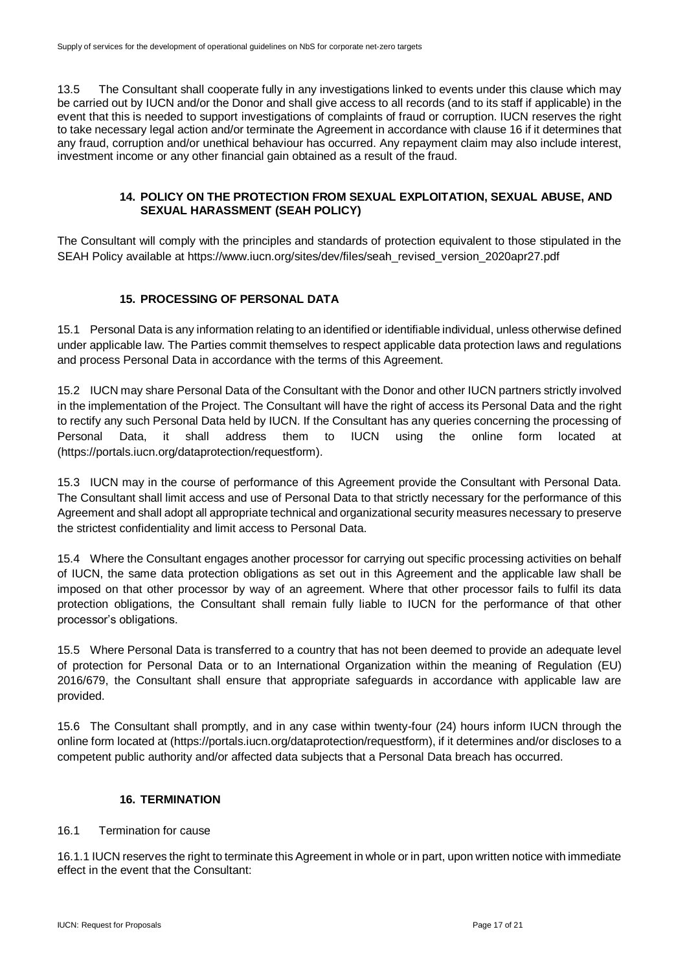13.5 The Consultant shall cooperate fully in any investigations linked to events under this clause which may be carried out by IUCN and/or the Donor and shall give access to all records (and to its staff if applicable) in the event that this is needed to support investigations of complaints of fraud or corruption. IUCN reserves the right to take necessary legal action and/or terminate the Agreement in accordance with clause 16 if it determines that any fraud, corruption and/or unethical behaviour has occurred. Any repayment claim may also include interest, investment income or any other financial gain obtained as a result of the fraud.

## **14. POLICY ON THE PROTECTION FROM SEXUAL EXPLOITATION, SEXUAL ABUSE, AND SEXUAL HARASSMENT (SEAH POLICY)**

The Consultant will comply with the principles and standards of protection equivalent to those stipulated in the SEAH Policy available at https://www.iucn.org/sites/dev/files/seah\_revised\_version\_2020apr27.pdf

# **15. PROCESSING OF PERSONAL DATA**

15.1 Personal Data is any information relating to an identified or identifiable individual, unless otherwise defined under applicable law. The Parties commit themselves to respect applicable data protection laws and regulations and process Personal Data in accordance with the terms of this Agreement.

15.2 IUCN may share Personal Data of the Consultant with the Donor and other IUCN partners strictly involved in the implementation of the Project. The Consultant will have the right of access its Personal Data and the right to rectify any such Personal Data held by IUCN. If the Consultant has any queries concerning the processing of Personal Data, it shall address them to IUCN using the online form located at (https://portals.iucn.org/dataprotection/requestform).

15.3 IUCN may in the course of performance of this Agreement provide the Consultant with Personal Data. The Consultant shall limit access and use of Personal Data to that strictly necessary for the performance of this Agreement and shall adopt all appropriate technical and organizational security measures necessary to preserve the strictest confidentiality and limit access to Personal Data.

15.4 Where the Consultant engages another processor for carrying out specific processing activities on behalf of IUCN, the same data protection obligations as set out in this Agreement and the applicable law shall be imposed on that other processor by way of an agreement. Where that other processor fails to fulfil its data protection obligations, the Consultant shall remain fully liable to IUCN for the performance of that other processor's obligations.

15.5 Where Personal Data is transferred to a country that has not been deemed to provide an adequate level of protection for Personal Data or to an International Organization within the meaning of Regulation (EU) 2016/679, the Consultant shall ensure that appropriate safeguards in accordance with applicable law are provided.

15.6 The Consultant shall promptly, and in any case within twenty-four (24) hours inform IUCN through the online form located at (https://portals.iucn.org/dataprotection/requestform), if it determines and/or discloses to a competent public authority and/or affected data subjects that a Personal Data breach has occurred.

## **16. TERMINATION**

#### 16.1 Termination for cause

16.1.1 IUCN reserves the right to terminate this Agreement in whole or in part, upon written notice with immediate effect in the event that the Consultant: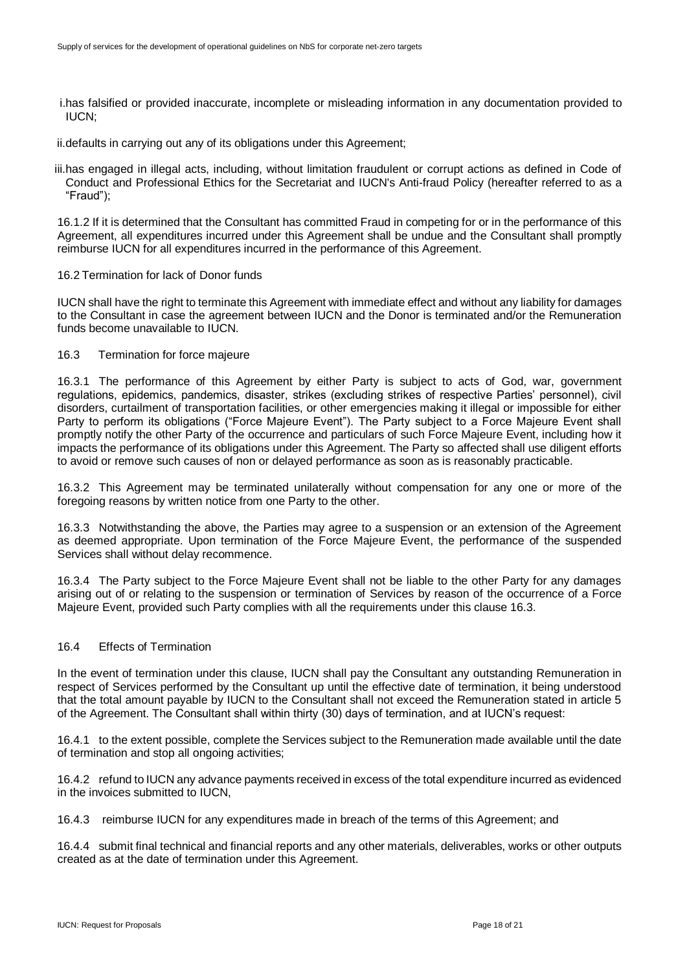i.has falsified or provided inaccurate, incomplete or misleading information in any documentation provided to IUCN;

ii.defaults in carrying out any of its obligations under this Agreement;

iii.has engaged in illegal acts, including, without limitation fraudulent or corrupt actions as defined in Code of Conduct and Professional Ethics for the Secretariat and IUCN's Anti-fraud Policy (hereafter referred to as a "Fraud");

16.1.2 If it is determined that the Consultant has committed Fraud in competing for or in the performance of this Agreement, all expenditures incurred under this Agreement shall be undue and the Consultant shall promptly reimburse IUCN for all expenditures incurred in the performance of this Agreement.

#### 16.2 Termination for lack of Donor funds

IUCN shall have the right to terminate this Agreement with immediate effect and without any liability for damages to the Consultant in case the agreement between IUCN and the Donor is terminated and/or the Remuneration funds become unavailable to IUCN.

#### 16.3 Termination for force majeure

16.3.1 The performance of this Agreement by either Party is subject to acts of God, war, government regulations, epidemics, pandemics, disaster, strikes (excluding strikes of respective Parties' personnel), civil disorders, curtailment of transportation facilities, or other emergencies making it illegal or impossible for either Party to perform its obligations ("Force Majeure Event"). The Party subject to a Force Majeure Event shall promptly notify the other Party of the occurrence and particulars of such Force Majeure Event, including how it impacts the performance of its obligations under this Agreement. The Party so affected shall use diligent efforts to avoid or remove such causes of non or delayed performance as soon as is reasonably practicable.

16.3.2 This Agreement may be terminated unilaterally without compensation for any one or more of the foregoing reasons by written notice from one Party to the other.

16.3.3 Notwithstanding the above, the Parties may agree to a suspension or an extension of the Agreement as deemed appropriate. Upon termination of the Force Majeure Event, the performance of the suspended Services shall without delay recommence.

16.3.4 The Party subject to the Force Majeure Event shall not be liable to the other Party for any damages arising out of or relating to the suspension or termination of Services by reason of the occurrence of a Force Majeure Event, provided such Party complies with all the requirements under this clause 16.3.

#### 16.4 Effects of Termination

In the event of termination under this clause, IUCN shall pay the Consultant any outstanding Remuneration in respect of Services performed by the Consultant up until the effective date of termination, it being understood that the total amount payable by IUCN to the Consultant shall not exceed the Remuneration stated in article 5 of the Agreement. The Consultant shall within thirty (30) days of termination, and at IUCN's request:

16.4.1 to the extent possible, complete the Services subject to the Remuneration made available until the date of termination and stop all ongoing activities;

16.4.2 refund to IUCN any advance payments received in excess of the total expenditure incurred as evidenced in the invoices submitted to IUCN,

16.4.3 reimburse IUCN for any expenditures made in breach of the terms of this Agreement; and

16.4.4 submit final technical and financial reports and any other materials, deliverables, works or other outputs created as at the date of termination under this Agreement.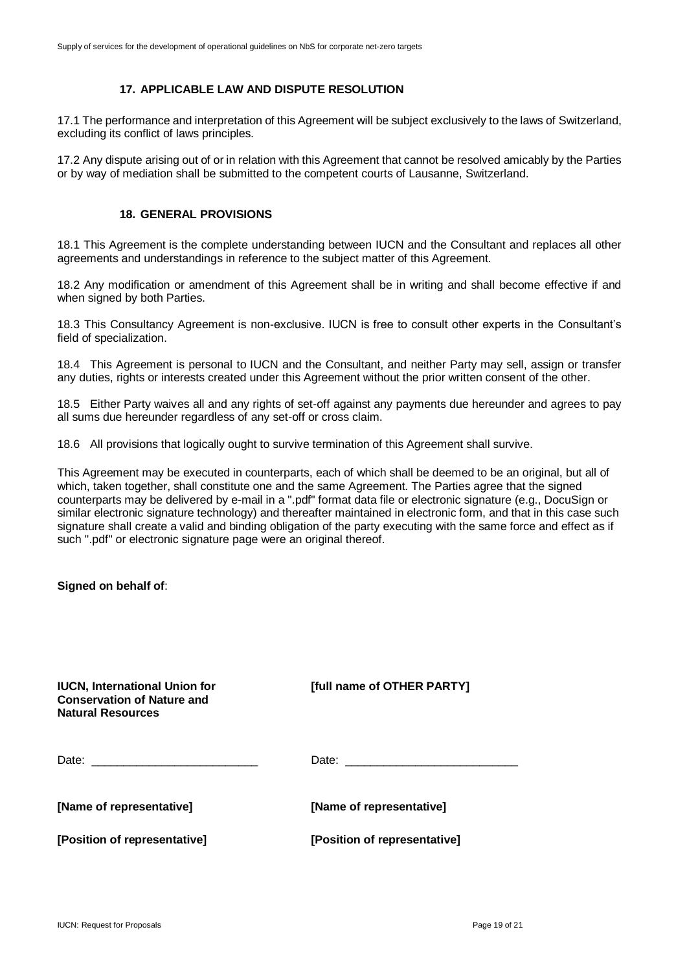#### **17. APPLICABLE LAW AND DISPUTE RESOLUTION**

17.1 The performance and interpretation of this Agreement will be subject exclusively to the laws of Switzerland, excluding its conflict of laws principles.

17.2 Any dispute arising out of or in relation with this Agreement that cannot be resolved amicably by the Parties or by way of mediation shall be submitted to the competent courts of Lausanne, Switzerland.

#### **18. GENERAL PROVISIONS**

18.1 This Agreement is the complete understanding between IUCN and the Consultant and replaces all other agreements and understandings in reference to the subject matter of this Agreement.

18.2 Any modification or amendment of this Agreement shall be in writing and shall become effective if and when signed by both Parties.

18.3 This Consultancy Agreement is non-exclusive. IUCN is free to consult other experts in the Consultant's field of specialization.

18.4 This Agreement is personal to IUCN and the Consultant, and neither Party may sell, assign or transfer any duties, rights or interests created under this Agreement without the prior written consent of the other.

18.5 Either Party waives all and any rights of set-off against any payments due hereunder and agrees to pay all sums due hereunder regardless of any set-off or cross claim.

18.6 All provisions that logically ought to survive termination of this Agreement shall survive.

This Agreement may be executed in counterparts, each of which shall be deemed to be an original, but all of which, taken together, shall constitute one and the same Agreement. The Parties agree that the signed counterparts may be delivered by e-mail in a ".pdf" format data file or electronic signature (e.g., DocuSign or similar electronic signature technology) and thereafter maintained in electronic form, and that in this case such signature shall create a valid and binding obligation of the party executing with the same force and effect as if such ".pdf" or electronic signature page were an original thereof.

**Signed on behalf of**:

| <b>IUCN, International Union for</b><br><b>Conservation of Nature and</b><br>Natural Resources | [full name of OTHER PARTY]   |
|------------------------------------------------------------------------------------------------|------------------------------|
|                                                                                                |                              |
| [Name of representative]                                                                       | [Name of representative]     |
| [Position of representative]                                                                   | [Position of representative] |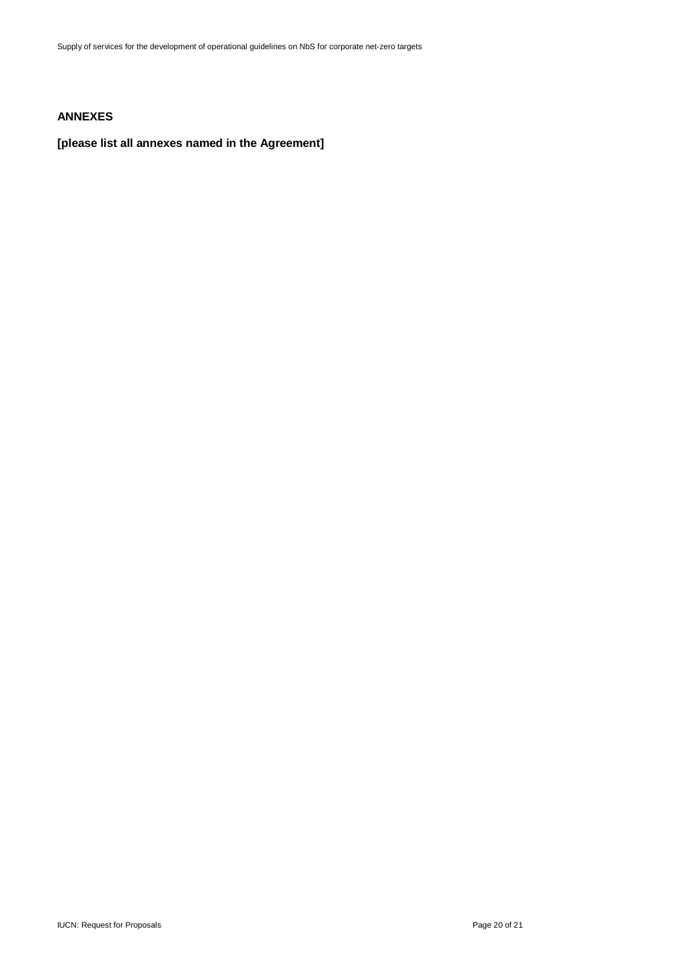## **ANNEXES**

## **[please list all annexes named in the Agreement]**